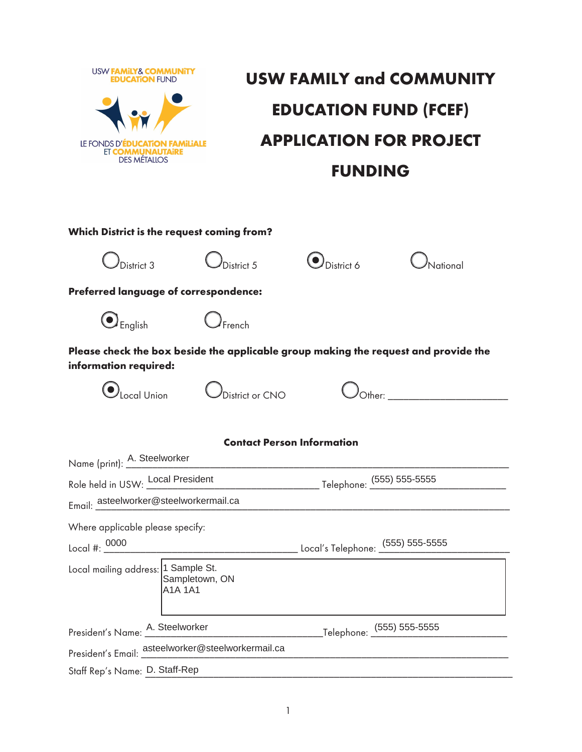

## $\mathbf{1}$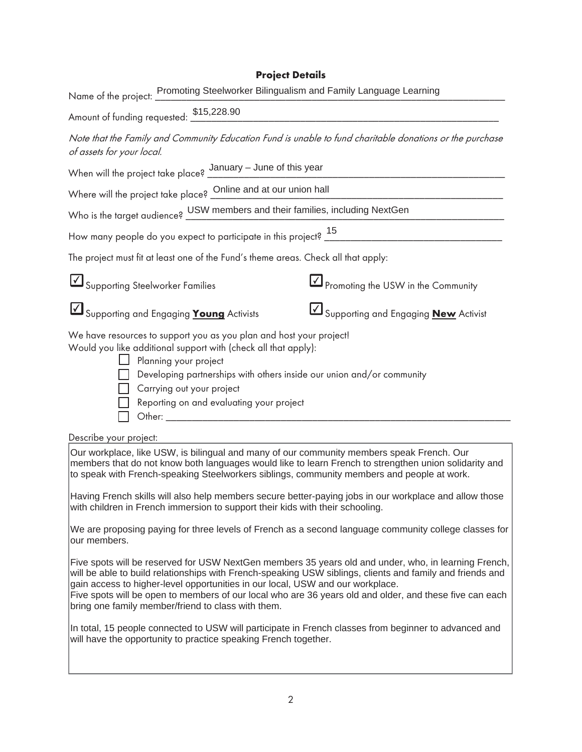## **Project Details**

| Name of the project: Promoting Steelworker Bilingualism and Family Language Learning                                                                                                                                                                                                                                                                                                                                                                                                                                                                      |  |  |
|-----------------------------------------------------------------------------------------------------------------------------------------------------------------------------------------------------------------------------------------------------------------------------------------------------------------------------------------------------------------------------------------------------------------------------------------------------------------------------------------------------------------------------------------------------------|--|--|
| Amount of funding requested: \$15,228.90                                                                                                                                                                                                                                                                                                                                                                                                                                                                                                                  |  |  |
| Note that the Family and Community Education Fund is unable to fund charitable donations or the purchase<br>of assets for your local.                                                                                                                                                                                                                                                                                                                                                                                                                     |  |  |
| When will the project take place? $\frac{\text{January} - \text{June of this year}}{\text{Minimum}}$                                                                                                                                                                                                                                                                                                                                                                                                                                                      |  |  |
| Where will the project take place? Online and at our union hall                                                                                                                                                                                                                                                                                                                                                                                                                                                                                           |  |  |
| Who is the target audience? USW members and their families, including NextGen                                                                                                                                                                                                                                                                                                                                                                                                                                                                             |  |  |
|                                                                                                                                                                                                                                                                                                                                                                                                                                                                                                                                                           |  |  |
| The project must fit at least one of the Fund's theme areas. Check all that apply:                                                                                                                                                                                                                                                                                                                                                                                                                                                                        |  |  |
| Supporting Steelworker Families<br>$\boxed{\sqrt{2}}$ Promoting the USW in the Community                                                                                                                                                                                                                                                                                                                                                                                                                                                                  |  |  |
| Supporting and Engaging <b>New</b> Activist<br>Supporting and Engaging <b>Young</b> Activists                                                                                                                                                                                                                                                                                                                                                                                                                                                             |  |  |
| We have resources to support you as you plan and host your project!<br>Would you like additional support with (check all that apply):<br>$\Box$ Planning your project<br>Developing partnerships with others inside our union and/or community<br>Carrying out your project<br>Reporting on and evaluating your project<br>Other: We have a state of the state of the state of the state of the state of the state of the state of the state of the state of the state of the state of the state of the state of the state of the state of the state of t |  |  |
| Describe your project:                                                                                                                                                                                                                                                                                                                                                                                                                                                                                                                                    |  |  |
| Our workplace, like USW, is bilingual and many of our community members speak French. Our<br>members that do not know both languages would like to learn French to strengthen union solidarity and<br>to speak with French-speaking Steelworkers siblings, community members and people at work.                                                                                                                                                                                                                                                          |  |  |
| Having French skills will also help members secure better-paying jobs in our workplace and allow those<br>with children in French immersion to support their kids with their schooling.                                                                                                                                                                                                                                                                                                                                                                   |  |  |

 $\vert$ We are proposing paying for three levels of French as a second language community college classes for  $\vert$ | Barbara Barbara Barbara Barbara Barbara Barbara Barbara Barbara Barbara Barbara Barbara Barbara Barbara Barbara Barbara Barbara Barbara Barbara Barbara Barbara Barbara Barbara Barbara Barbara Barbara Barbara Barbara Barb our members.

Five spots will be reserved for USW NextGen members 35 years old and under, who, in learning French, |gain access to higher-level opportunities in our local, USW and our workplace. will be able to build relationships with French-speaking USW siblings, clients and family and friends and Five spots will be open to members of our local who are 36 years old and older, and these five can each

|bring one family member/friend to class with them.<br>|

In total, 15 people connected to USW will participate in French classes from beginner to advanced and  $\parallel$ BBBBBBBBBBBBBBBBBBBBBBBBBBBBBBBBBBBBBBBBBBBBBBBBBBBBBBBBBBBBBBBBBBBBBBBBBBBBBBBBBBBBB will have the opportunity to practice speaking French together.

BBBBBBBBBBBBBBBBBBBBBBBBBBBBBBBBBBBBBBBBBBBBBBBBBBBBBBBBBBBBBBBBBBBBBBBBBBBBBBBBBBBBB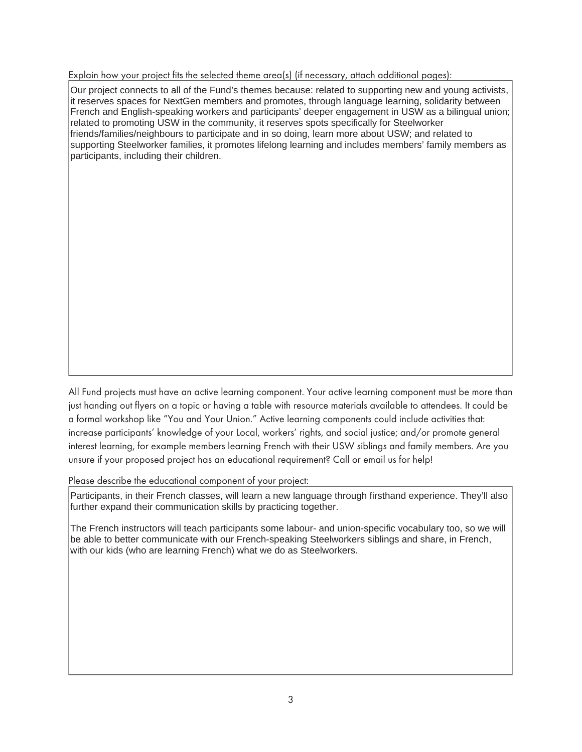Explain how your project fits the selected theme area(s) (if necessary, attach additional pages):

 $\sigma$  is project connects to all of the 1 and 3 themes because. Feraled to supporting from and young activists,  $\vert$ related to promoting USW in the community, it reserves spots specifically for Steelworker and promoting USW in the community, it reserves spots specifically for Steelworker BBBBBBBBBBBBBBBBBBBBBBBBBBBBBBBBBBBBBBBBBBBBBBBBBBBBBBBBBBBBBBBBBBBBBBBBBBBBBBBBBBBBB supporting Steelworker families, it promotes lifelong learning and includes members' family members as participants, including their children. Our project connects to all of the Fund's themes because: related to supporting new and young activists, French and English-speaking workers and participants' deeper engagement in USW as a bilingual union; friends/families/neighbours to participate and in so doing, learn more about USW; and related to

BBBBBBBBBBBBBBBBBBBBBBBBBBBBBBBBBBBBBBBBBBBBBBBBBBBBBBBBBBBBBBBBBBBBBBBBBBBBBBBBBBBBB

BBBBBBBBBBBBBBBBBBBBBBBBBBBBBBBBBBBBBBBBBBBBBBBBBBBBBBBBBBBBBBBBBBBBBBBBBBBBBBBBBBBBB

BBBBBBBBBBBBBBBBBBBBBBBBBBBBBBBBBBBBBBBBBBBBBBBBBBBBBBBBBBBBBBBBBBBBBBBBBBBBBBBBBBBBB

BBBBBBBBBBBBBBBBBBBBBBBBBBBBBBBBBBBBBBBBBBBBBBBBBBBBBBBBBBBBBBBBBBBBBBBBBBBBBBBBBBBBB

BBBBBBBBBBBBBBBBBBBBBBBBBBBBBBBBBBBBBBBBBBBBBBBBBBBBBBBBBBBBBBBBBBBBBBBBBBBBBBBBBBBBB

BBBBBBBBBBBBBBBBBBBBBBBBBBBBBBBBBBBBBBBBBBBBBBBBBBBBBBBBBBBBBBBBBBBBBBBBBBBBBBBBBBBBB

BBBBBBBBBBBBBBBBBBBBBBBBBBBBBBBBBBBBBBBBBBBBBBBBBBBBBBBBBBBBBBBBBBBBBBBBBBBBBBBBBBBBB

BBBBBBBBBBBBBBBBBBBBBBBBBBBBBBBBBBBBBBBBBBBBBBBBBBBBBBBBBBBBBBBBBBBBBBBBBBBBBBBBBBBBB

BBBBBBBBBBBBBBBBBBBBBBBBBBBBBBBBBBBBBBBBBBBBBBBBBBBBBBBBBBBBBBBBBBBBBBBBBBBBBBBBBBBBB

BBBBBBBBBBBBBBBBBBBBBBBBBBBBBBBBBBBBBBBBBBBBBBBBBBBBBBBBBBBBBBBBBBBBBBBBBBBBBBBBBBBBB

All Fund projects must have an active learning component. Your active learning component must be more than just handing out flyers on a topic or having a table with resource materials available to attendees. It could be a formal workshop like "You and Your Union." Active learning components could include activities that: increase participants' knowledge of your Local, workers' rights, and social justice; and/or promote general interest learning, for example members learning French with their USW siblings and family members. Are you unsure if your proposed project has an educational requirement? Call or email us for help!

Please describe the educational component of your project:

Further expand their French classes, will learn a fiew language unough insuland expendition. They if also Participants, in their French classes, will learn a new language through firsthand experience. They'll also

 $\vert$ The French instructors will teach participants some labour- and union-specific vocabulary too, so we will  $\vert$ be able to better communicate with our French-speaking Steelworkers siblings and share, in French, with our kids (who are learning French) what we do as Steelworkers.

BBBBBBBBBBBBBBBBBBBBBBBBBBBBBBBBBBBBBBBBBBBBBBBBBBBBBBBBBBBBBBBBBBBBBBBBBBBBBBBBBBBBB

BBBBBBBBBBBBBBBBBBBBBBBBBBBBBBBBBBBBBBBBBBBBBBBBBBBBBBBBBBBBBBBBBBBBBBBBBBBBBBBBBBBBB

BBBBBBBBBBBBBBBBBBBBBBBBBBBBBBBBBBBBBBBBBBBBBBBBBBBBBBBBBBBBBBBBBBBBBBBBBBBBBBBBBBBBB

BBBBBBBBBBBBBBBBBBBBBBBBBBBBBBBBBBBBBBBBBBBBBBBBBBBBBBBBBBBBBBBBBBBBBBBBBBBBBBBBBBBBB

BBBBBBBBBBBBBBBBBBBBBBBBBBBBBBBBBBBBBBBBBBBBBBBBBBBBBBBBBBBBBBBBBBBBBBBBBBBBBBBBBBBBB

BBBBBBBBBBBBBBBBBBBBBBBBBBBBBBBBBBBBBBBBBBBBBBBBBBBBBBBBBBBBBBBBBBBBBBBBBBBBBBBBBBBBB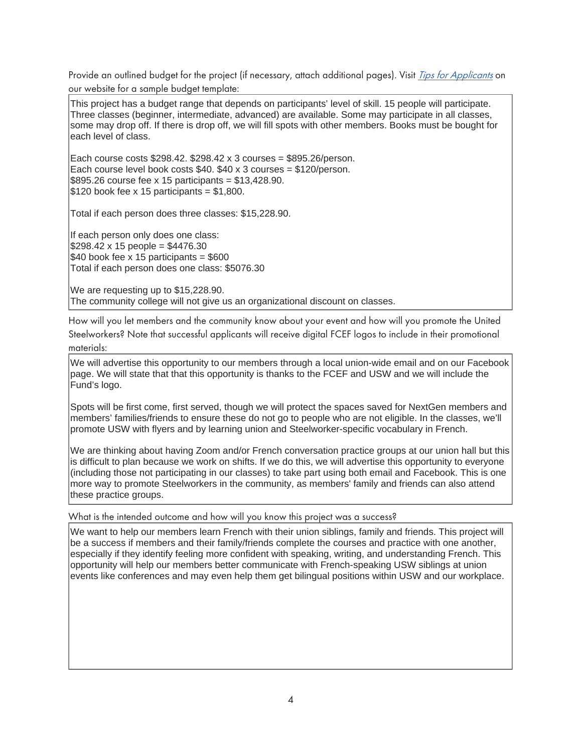Provide an outlined budget for the project (if necessary, attach additional pages). Visit *Tips for Applicants* on our website for a sample budget template:

This project has a badget range that depends on participants fever of still. To people will participate.<br>Three classes (beginner, intermediate, advanced) are available. Some may participate in all classes, some may drop off. If there is drop off, we will fill spots with other members. Books must be bought for [1] This project has a budget range that depends on participants' level of skill. 15 people will participate. each level of class.

 $\vert$  Each course costs \$298.42. \$298.42 x 3 courses = \$895.26/person. BBBBBBBBBBBBBBBBBBBBBBBBBBBBBBBBBBBBBBBBBBBBBBBBBBBBBBBBBBBBBBBBBBBBBBBBBBBBBBBBBBBBB Each course level book costs \$40. \$40 x 3 courses = \$120/person.  $$120$  book fee x 15 participants = \$1,800. \$895.26 course fee x 15 participants =  $$13,428.90$ .

Total if each person does three classes:  $$15,228.90$ .

If each person only does one class:  $\blacksquare$  $\$40$  book fee x 15 participants =  $$600$  $$298.42 \times 15$  people =  $$4476.30$ Total if each person does one class: \$5076.30

BBBBBBBBBBBBBBBBBBBBBBBBBBBBBBBBBBBBBBBBBBBBBBBBBBBBBBBBBBBBBBBBBBBBBBBBBBBBBBBBBBBBB The community college will not give us an organizational discount on classes. We are requesting up to \$15,228.90.

How will you let members and the community know about your event and how will you promote the United Steelworkers? Note that successful applicants will receive digital FCEF logos to include in their promotional materials:

page. We will state that that this opportunity is thanks to the FCEF and USW and we will include the BBBBBBBBBBBBBBBBBBBBBBBBBBBBBBBBBBBBBBBBBBBBBBBBBBBBBBBBBBBBBBBBBBBBBBBBBBBBBBBBBBBBB We will advertise this opportunity to our members through a local union-wide email and on our Facebook Fund's logo.

spots will be first come, first served, though we will protect the spaces saved for NextGen members and promotion in the classes, we'll promote USW with flyers and by learning union and Steelworker-specific vocabulary in French. Spots will be first come, first served, though we will protect the spaces saved for NextGen members and

We are thinking about having Zoom and/or French conversation practice groups at our union hall but this  $\vert$ (including those not participating in our classes) to take part using both email and Facebook. This is one  $\vert$ these practice groups. is difficult to plan because we work on shifts. If we do this, we will advertise this opportunity to everyone more way to promote Steelworkers in the community, as members' family and friends can also attend

## What is the intended outcome and how will you know this project was a success?

be a success if members and their family/friends complete the courses and practice with one another, especially if they identify reeling more communicate with speaking, whilling, and differenching Frenchi. This<br>|opportunity will help our members better communicate with French-speaking USW siblings at union events like conferences and may even help them get bilingual positions within USW and our workplace. We want to help our members learn French with their union siblings, family and friends. This project will especially if they identify feeling more confident with speaking, writing, and understanding French. This

BBBBBBBBBBBBBBBBBBBBBBBBBBBBBBBBBBBBBBBBBBBBBBBBBBBBBBBBBBBBBBBBBBBBBBBBBBBBBBBBBBBBB

BBBBBBBBBBBBBBBBBBBBBBBBBBBBBBBBBBBBBBBBBBBBBBBBBBBBBBBBBBBBBBBBBBBBBBBBBBBBBBBBBBBBB

BBBBBBBBBBBBBBBBBBBBBBBBBBBBBBBBBBBBBBBBBBBBBBBBBBBBBBBBBBBBBBBBBBBBBBBBBBBBBBBBBBBBB

BBBBBBBBBBBBBBBBBBBBBBBBBBBBBBBBBBBBBBBBBBBBBBBBBBBBBBBBBBBBBBBBBBBBBBBBBBBBBBBBBBBBB